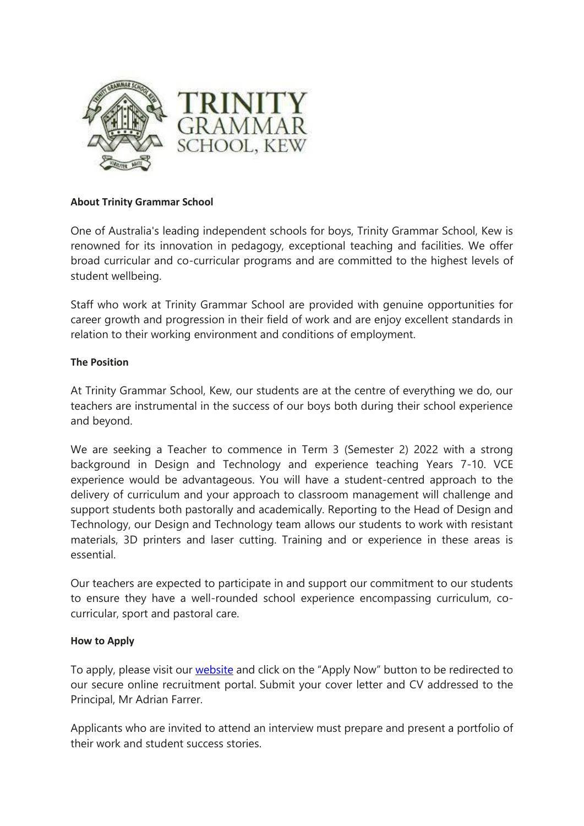

# **About Trinity Grammar School**

One of Australia's leading independent schools for boys, Trinity Grammar School, Kew is renowned for its innovation in pedagogy, exceptional teaching and facilities. We offer broad curricular and co-curricular programs and are committed to the highest levels of student wellbeing.

Staff who work at Trinity Grammar School are provided with genuine opportunities for career growth and progression in their field of work and are enjoy excellent standards in relation to their working environment and conditions of employment.

# **The Position**

At Trinity Grammar School, Kew, our students are at the centre of everything we do, our teachers are instrumental in the success of our boys both during their school experience and beyond.

We are seeking a Teacher to commence in Term 3 (Semester 2) 2022 with a strong background in Design and Technology and experience teaching Years 7-10. VCE experience would be advantageous. You will have a student-centred approach to the delivery of curriculum and your approach to classroom management will challenge and support students both pastorally and academically. Reporting to the Head of Design and Technology, our Design and Technology team allows our students to work with resistant materials, 3D printers and laser cutting. Training and or experience in these areas is essential.

Our teachers are expected to participate in and support our commitment to our students to ensure they have a well-rounded school experience encompassing curriculum, cocurricular, sport and pastoral care.

### **How to Apply**

To apply, please visit our [website](https://www.trinity.vic.edu.au/employment/) and click on the "Apply Now" button to be redirected to our secure online recruitment portal. Submit your cover letter and CV addressed to the Principal, Mr Adrian Farrer.

Applicants who are invited to attend an interview must prepare and present a portfolio of their work and student success stories.